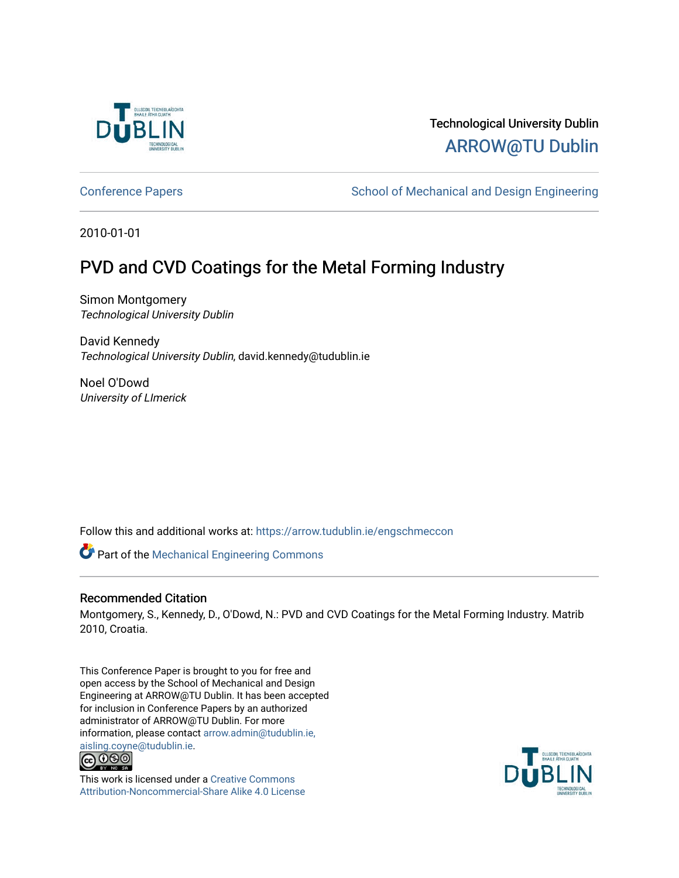

## Technological University Dublin [ARROW@TU Dublin](https://arrow.tudublin.ie/)

[Conference Papers](https://arrow.tudublin.ie/engschmeccon) **School of Mechanical and Design Engineering** School of Mechanical and Design Engineering

2010-01-01

# PVD and CVD Coatings for the Metal Forming Industry

Simon Montgomery Technological University Dublin

David Kennedy Technological University Dublin, david.kennedy@tudublin.ie

Noel O'Dowd University of LImerick

Follow this and additional works at: [https://arrow.tudublin.ie/engschmeccon](https://arrow.tudublin.ie/engschmeccon?utm_source=arrow.tudublin.ie%2Fengschmeccon%2F37&utm_medium=PDF&utm_campaign=PDFCoverPages) 

Part of the [Mechanical Engineering Commons](http://network.bepress.com/hgg/discipline/293?utm_source=arrow.tudublin.ie%2Fengschmeccon%2F37&utm_medium=PDF&utm_campaign=PDFCoverPages) 

## Recommended Citation

Montgomery, S., Kennedy, D., O'Dowd, N.: PVD and CVD Coatings for the Metal Forming Industry. Matrib 2010, Croatia.

This Conference Paper is brought to you for free and open access by the School of Mechanical and Design Engineering at ARROW@TU Dublin. It has been accepted for inclusion in Conference Papers by an authorized administrator of ARROW@TU Dublin. For more information, please contact [arrow.admin@tudublin.ie,](mailto:arrow.admin@tudublin.ie,%20aisling.coyne@tudublin.ie)  [aisling.coyne@tudublin.ie.](mailto:arrow.admin@tudublin.ie,%20aisling.coyne@tudublin.ie)<br>© 090



This work is licensed under a [Creative Commons](http://creativecommons.org/licenses/by-nc-sa/4.0/) [Attribution-Noncommercial-Share Alike 4.0 License](http://creativecommons.org/licenses/by-nc-sa/4.0/)

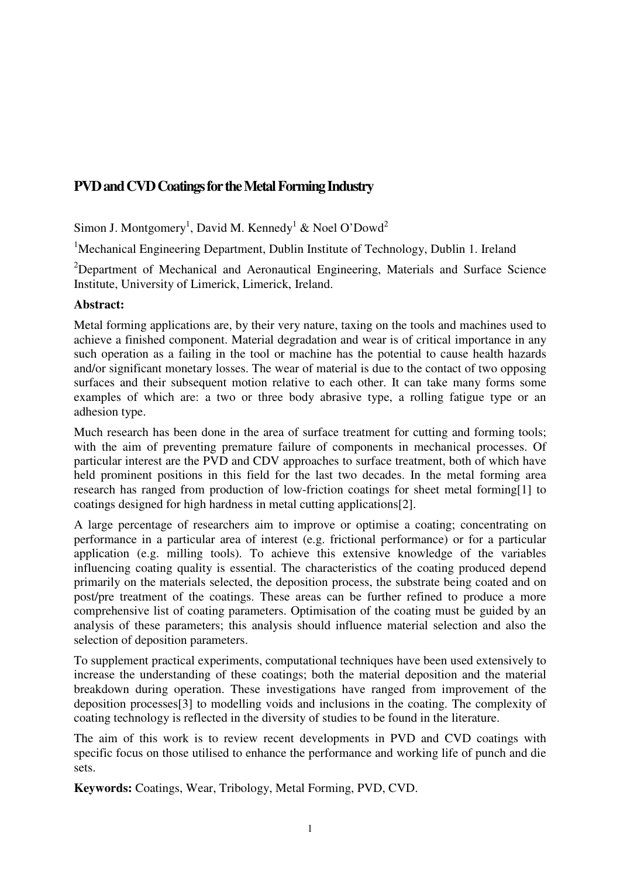## **PVD and CVD Coatings for the Metal Forming Industry**

Simon J. Montgomery<sup>1</sup>, David M. Kennedy<sup>1</sup> & Noel O'Dowd<sup>2</sup>

<sup>1</sup>Mechanical Engineering Department, Dublin Institute of Technology, Dublin 1. Ireland

<sup>2</sup>Department of Mechanical and Aeronautical Engineering, Materials and Surface Science Institute, University of Limerick, Limerick, Ireland.

## **Abstract:**

Metal forming applications are, by their very nature, taxing on the tools and machines used to achieve a finished component. Material degradation and wear is of critical importance in any such operation as a failing in the tool or machine has the potential to cause health hazards and/or significant monetary losses. The wear of material is due to the contact of two opposing surfaces and their subsequent motion relative to each other. It can take many forms some examples of which are: a two or three body abrasive type, a rolling fatigue type or an adhesion type.

Much research has been done in the area of surface treatment for cutting and forming tools; with the aim of preventing premature failure of components in mechanical processes. Of particular interest are the PVD and CDV approaches to surface treatment, both of which have held prominent positions in this field for the last two decades. In the metal forming area research has ranged from production of low-friction coatings for sheet metal forming[1] to coatings designed for high hardness in metal cutting applications[2].

A large percentage of researchers aim to improve or optimise a coating; concentrating on performance in a particular area of interest (e.g. frictional performance) or for a particular application (e.g. milling tools). To achieve this extensive knowledge of the variables influencing coating quality is essential. The characteristics of the coating produced depend primarily on the materials selected, the deposition process, the substrate being coated and on post/pre treatment of the coatings. These areas can be further refined to produce a more comprehensive list of coating parameters. Optimisation of the coating must be guided by an analysis of these parameters; this analysis should influence material selection and also the selection of deposition parameters.

To supplement practical experiments, computational techniques have been used extensively to increase the understanding of these coatings; both the material deposition and the material breakdown during operation. These investigations have ranged from improvement of the deposition processes[3] to modelling voids and inclusions in the coating. The complexity of coating technology is reflected in the diversity of studies to be found in the literature.

The aim of this work is to review recent developments in PVD and CVD coatings with specific focus on those utilised to enhance the performance and working life of punch and die sets.

**Keywords:** Coatings, Wear, Tribology, Metal Forming, PVD, CVD.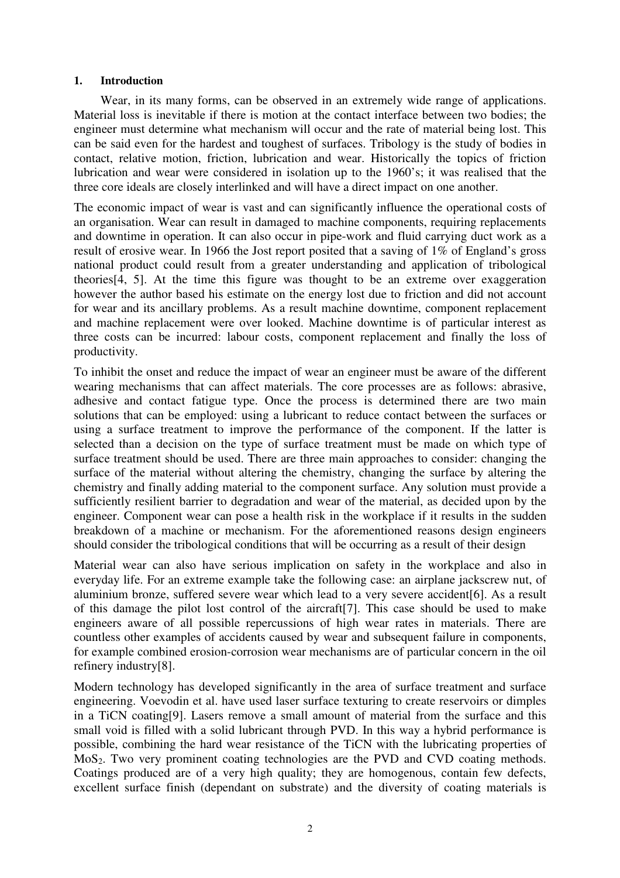## **1. Introduction**

Wear, in its many forms, can be observed in an extremely wide range of applications. Material loss is inevitable if there is motion at the contact interface between two bodies; the engineer must determine what mechanism will occur and the rate of material being lost. This can be said even for the hardest and toughest of surfaces. Tribology is the study of bodies in contact, relative motion, friction, lubrication and wear. Historically the topics of friction lubrication and wear were considered in isolation up to the 1960's; it was realised that the three core ideals are closely interlinked and will have a direct impact on one another.

The economic impact of wear is vast and can significantly influence the operational costs of an organisation. Wear can result in damaged to machine components, requiring replacements and downtime in operation. It can also occur in pipe-work and fluid carrying duct work as a result of erosive wear. In 1966 the Jost report posited that a saving of 1% of England's gross national product could result from a greater understanding and application of tribological theories[4, 5]. At the time this figure was thought to be an extreme over exaggeration however the author based his estimate on the energy lost due to friction and did not account for wear and its ancillary problems. As a result machine downtime, component replacement and machine replacement were over looked. Machine downtime is of particular interest as three costs can be incurred: labour costs, component replacement and finally the loss of productivity.

To inhibit the onset and reduce the impact of wear an engineer must be aware of the different wearing mechanisms that can affect materials. The core processes are as follows: abrasive, adhesive and contact fatigue type. Once the process is determined there are two main solutions that can be employed: using a lubricant to reduce contact between the surfaces or using a surface treatment to improve the performance of the component. If the latter is selected than a decision on the type of surface treatment must be made on which type of surface treatment should be used. There are three main approaches to consider: changing the surface of the material without altering the chemistry, changing the surface by altering the chemistry and finally adding material to the component surface. Any solution must provide a sufficiently resilient barrier to degradation and wear of the material, as decided upon by the engineer. Component wear can pose a health risk in the workplace if it results in the sudden breakdown of a machine or mechanism. For the aforementioned reasons design engineers should consider the tribological conditions that will be occurring as a result of their design

Material wear can also have serious implication on safety in the workplace and also in everyday life. For an extreme example take the following case: an airplane jackscrew nut, of aluminium bronze, suffered severe wear which lead to a very severe accident[6]. As a result of this damage the pilot lost control of the aircraft[7]. This case should be used to make engineers aware of all possible repercussions of high wear rates in materials. There are countless other examples of accidents caused by wear and subsequent failure in components, for example combined erosion-corrosion wear mechanisms are of particular concern in the oil refinery industry[8].

Modern technology has developed significantly in the area of surface treatment and surface engineering. Voevodin et al. have used laser surface texturing to create reservoirs or dimples in a TiCN coating[9]. Lasers remove a small amount of material from the surface and this small void is filled with a solid lubricant through PVD. In this way a hybrid performance is possible, combining the hard wear resistance of the TiCN with the lubricating properties of MoS<sub>2</sub>. Two very prominent coating technologies are the PVD and CVD coating methods. Coatings produced are of a very high quality; they are homogenous, contain few defects, excellent surface finish (dependant on substrate) and the diversity of coating materials is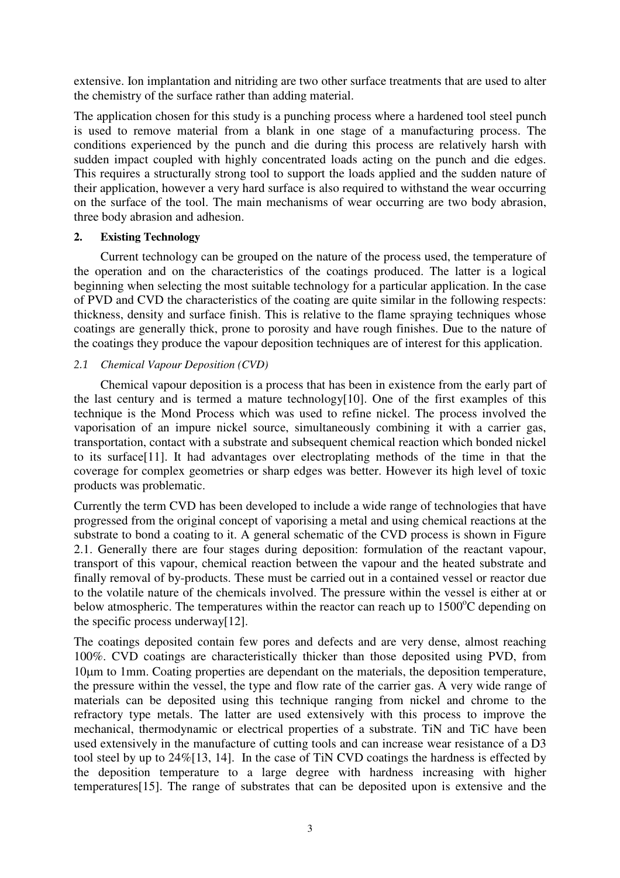extensive. Ion implantation and nitriding are two other surface treatments that are used to alter the chemistry of the surface rather than adding material.

The application chosen for this study is a punching process where a hardened tool steel punch is used to remove material from a blank in one stage of a manufacturing process. The conditions experienced by the punch and die during this process are relatively harsh with sudden impact coupled with highly concentrated loads acting on the punch and die edges. This requires a structurally strong tool to support the loads applied and the sudden nature of their application, however a very hard surface is also required to withstand the wear occurring on the surface of the tool. The main mechanisms of wear occurring are two body abrasion, three body abrasion and adhesion.

## **2. Existing Technology**

 Current technology can be grouped on the nature of the process used, the temperature of the operation and on the characteristics of the coatings produced. The latter is a logical beginning when selecting the most suitable technology for a particular application. In the case of PVD and CVD the characteristics of the coating are quite similar in the following respects: thickness, density and surface finish. This is relative to the flame spraying techniques whose coatings are generally thick, prone to porosity and have rough finishes. Due to the nature of the coatings they produce the vapour deposition techniques are of interest for this application.

## 2.1 *Chemical Vapour Deposition (CVD)*

 Chemical vapour deposition is a process that has been in existence from the early part of the last century and is termed a mature technology[10]. One of the first examples of this technique is the Mond Process which was used to refine nickel. The process involved the vaporisation of an impure nickel source, simultaneously combining it with a carrier gas, transportation, contact with a substrate and subsequent chemical reaction which bonded nickel to its surface[11]. It had advantages over electroplating methods of the time in that the coverage for complex geometries or sharp edges was better. However its high level of toxic products was problematic.

Currently the term CVD has been developed to include a wide range of technologies that have progressed from the original concept of vaporising a metal and using chemical reactions at the substrate to bond a coating to it. A general schematic of the CVD process is shown in Figure 2.1. Generally there are four stages during deposition: formulation of the reactant vapour, transport of this vapour, chemical reaction between the vapour and the heated substrate and finally removal of by-products. These must be carried out in a contained vessel or reactor due to the volatile nature of the chemicals involved. The pressure within the vessel is either at or below atmospheric. The temperatures within the reactor can reach up to  $1500^{\circ}$ C depending on the specific process underway[12].

The coatings deposited contain few pores and defects and are very dense, almost reaching 100%. CVD coatings are characteristically thicker than those deposited using PVD, from 10µm to 1mm. Coating properties are dependant on the materials, the deposition temperature, the pressure within the vessel, the type and flow rate of the carrier gas. A very wide range of materials can be deposited using this technique ranging from nickel and chrome to the refractory type metals. The latter are used extensively with this process to improve the mechanical, thermodynamic or electrical properties of a substrate. TiN and TiC have been used extensively in the manufacture of cutting tools and can increase wear resistance of a D3 tool steel by up to 24%[13, 14]. In the case of TiN CVD coatings the hardness is effected by the deposition temperature to a large degree with hardness increasing with higher temperatures[15]. The range of substrates that can be deposited upon is extensive and the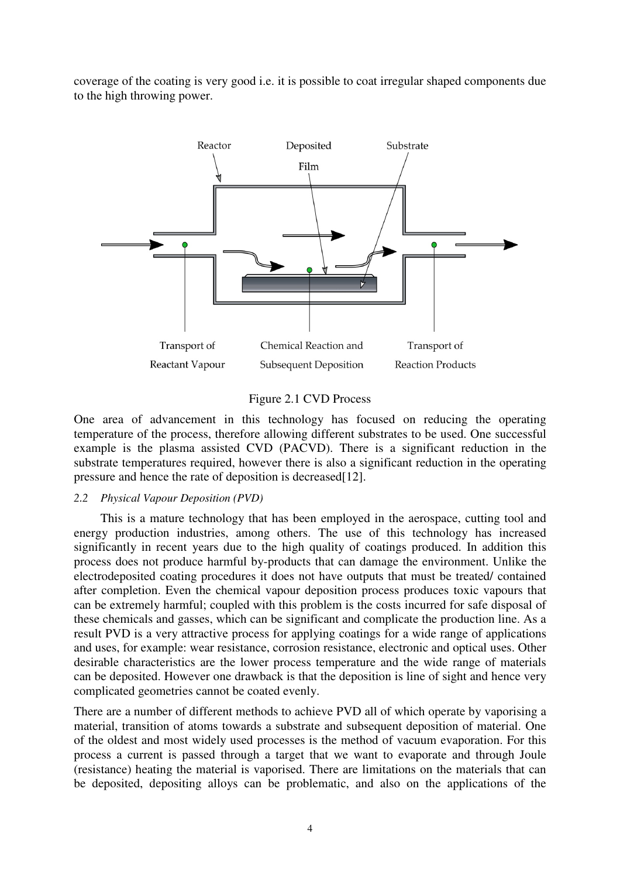coverage of the coating is very good i.e. it is possible to coat irregular shaped components due to the high throwing power.



#### Figure 2.1 CVD Process

One area of advancement in this technology has focused on reducing the operating temperature of the process, therefore allowing different substrates to be used. One successful example is the plasma assisted CVD (PACVD). There is a significant reduction in the substrate temperatures required, however there is also a significant reduction in the operating pressure and hence the rate of deposition is decreased [12].

#### 2.2 *Physical Vapour Deposition (PVD)*

 This is a mature technology that has been employed in the aerospace, cutting tool and energy production industries, among others. The use of this technology has increased significantly in recent years due to the high quality of coatings produced. In addition this process does not produce harmful by-products that can damage the environment. Unlike the electrodeposited coating procedures it does not have outputs that must be treated/ contained after completion. Even the chemical vapour deposition process produces toxic vapours that can be extremely harmful; coupled with this problem is the costs incurred for safe disposal of these chemicals and gasses, which can be significant and complicate the production line. As a result PVD is a very attractive process for applying coatings for a wide range of applications and uses, for example: wear resistance, corrosion resistance, electronic and optical uses. Other desirable characteristics are the lower process temperature and the wide range of materials can be deposited. However one drawback is that the deposition is line of sight and hence very complicated geometries cannot be coated evenly.

There are a number of different methods to achieve PVD all of which operate by vaporising a material, transition of atoms towards a substrate and subsequent deposition of material. One of the oldest and most widely used processes is the method of vacuum evaporation. For this process a current is passed through a target that we want to evaporate and through Joule (resistance) heating the material is vaporised. There are limitations on the materials that can be deposited, depositing alloys can be problematic, and also on the applications of the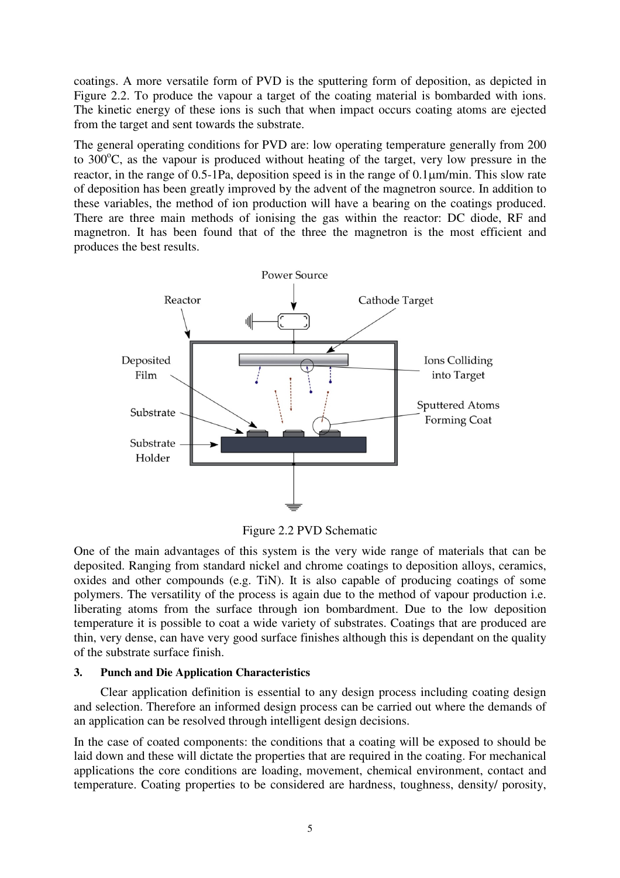coatings. A more versatile form of PVD is the sputtering form of deposition, as depicted in Figure 2.2. To produce the vapour a target of the coating material is bombarded with ions. The kinetic energy of these ions is such that when impact occurs coating atoms are ejected from the target and sent towards the substrate.

The general operating conditions for PVD are: low operating temperature generally from 200 to  $300^{\circ}$ C, as the vapour is produced without heating of the target, very low pressure in the reactor, in the range of 0.5-1Pa, deposition speed is in the range of 0.1µm/min. This slow rate of deposition has been greatly improved by the advent of the magnetron source. In addition to these variables, the method of ion production will have a bearing on the coatings produced. There are three main methods of ionising the gas within the reactor: DC diode, RF and magnetron. It has been found that of the three the magnetron is the most efficient and produces the best results.



Figure 2.2 PVD Schematic

One of the main advantages of this system is the very wide range of materials that can be deposited. Ranging from standard nickel and chrome coatings to deposition alloys, ceramics, oxides and other compounds (e.g. TiN). It is also capable of producing coatings of some polymers. The versatility of the process is again due to the method of vapour production i.e. liberating atoms from the surface through ion bombardment. Due to the low deposition temperature it is possible to coat a wide variety of substrates. Coatings that are produced are thin, very dense, can have very good surface finishes although this is dependant on the quality of the substrate surface finish.

## **3. Punch and Die Application Characteristics**

 Clear application definition is essential to any design process including coating design and selection. Therefore an informed design process can be carried out where the demands of an application can be resolved through intelligent design decisions.

In the case of coated components: the conditions that a coating will be exposed to should be laid down and these will dictate the properties that are required in the coating. For mechanical applications the core conditions are loading, movement, chemical environment, contact and temperature. Coating properties to be considered are hardness, toughness, density/ porosity,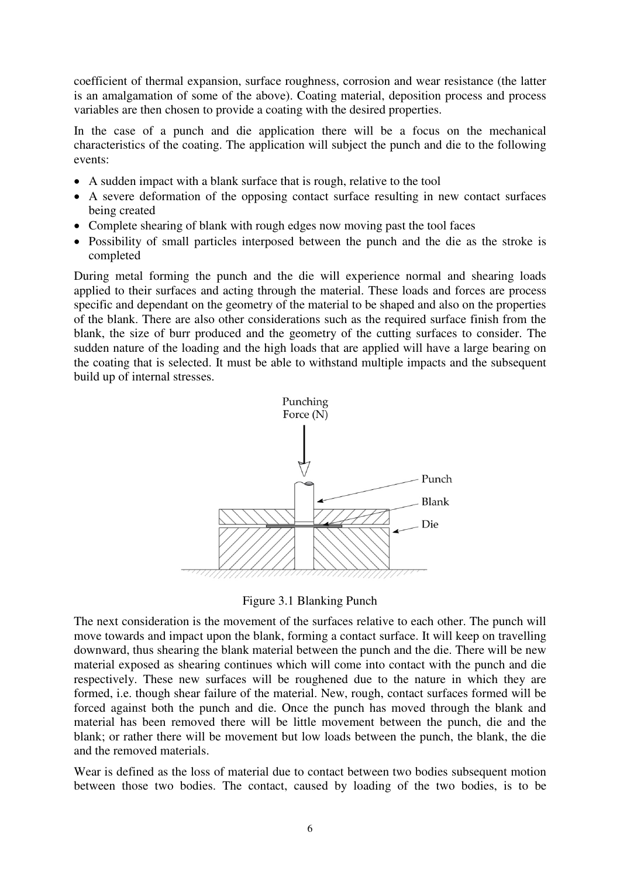coefficient of thermal expansion, surface roughness, corrosion and wear resistance (the latter is an amalgamation of some of the above). Coating material, deposition process and process variables are then chosen to provide a coating with the desired properties.

In the case of a punch and die application there will be a focus on the mechanical characteristics of the coating. The application will subject the punch and die to the following events:

- A sudden impact with a blank surface that is rough, relative to the tool
- A severe deformation of the opposing contact surface resulting in new contact surfaces being created
- Complete shearing of blank with rough edges now moving past the tool faces
- Possibility of small particles interposed between the punch and the die as the stroke is completed

During metal forming the punch and the die will experience normal and shearing loads applied to their surfaces and acting through the material. These loads and forces are process specific and dependant on the geometry of the material to be shaped and also on the properties of the blank. There are also other considerations such as the required surface finish from the blank, the size of burr produced and the geometry of the cutting surfaces to consider. The sudden nature of the loading and the high loads that are applied will have a large bearing on the coating that is selected. It must be able to withstand multiple impacts and the subsequent build up of internal stresses.



Figure 3.1 Blanking Punch

The next consideration is the movement of the surfaces relative to each other. The punch will move towards and impact upon the blank, forming a contact surface. It will keep on travelling downward, thus shearing the blank material between the punch and the die. There will be new material exposed as shearing continues which will come into contact with the punch and die respectively. These new surfaces will be roughened due to the nature in which they are formed, i.e. though shear failure of the material. New, rough, contact surfaces formed will be forced against both the punch and die. Once the punch has moved through the blank and material has been removed there will be little movement between the punch, die and the blank; or rather there will be movement but low loads between the punch, the blank, the die and the removed materials.

Wear is defined as the loss of material due to contact between two bodies subsequent motion between those two bodies. The contact, caused by loading of the two bodies, is to be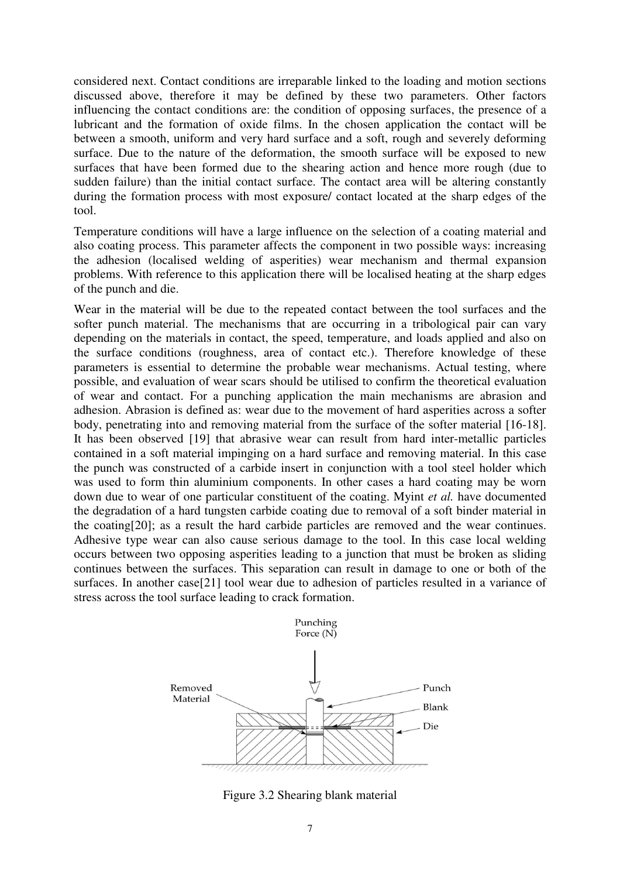considered next. Contact conditions are irreparable linked to the loading and motion sections discussed above, therefore it may be defined by these two parameters. Other factors influencing the contact conditions are: the condition of opposing surfaces, the presence of a lubricant and the formation of oxide films. In the chosen application the contact will be between a smooth, uniform and very hard surface and a soft, rough and severely deforming surface. Due to the nature of the deformation, the smooth surface will be exposed to new surfaces that have been formed due to the shearing action and hence more rough (due to sudden failure) than the initial contact surface. The contact area will be altering constantly during the formation process with most exposure/ contact located at the sharp edges of the tool.

Temperature conditions will have a large influence on the selection of a coating material and also coating process. This parameter affects the component in two possible ways: increasing the adhesion (localised welding of asperities) wear mechanism and thermal expansion problems. With reference to this application there will be localised heating at the sharp edges of the punch and die.

Wear in the material will be due to the repeated contact between the tool surfaces and the softer punch material. The mechanisms that are occurring in a tribological pair can vary depending on the materials in contact, the speed, temperature, and loads applied and also on the surface conditions (roughness, area of contact etc.). Therefore knowledge of these parameters is essential to determine the probable wear mechanisms. Actual testing, where possible, and evaluation of wear scars should be utilised to confirm the theoretical evaluation of wear and contact. For a punching application the main mechanisms are abrasion and adhesion. Abrasion is defined as: wear due to the movement of hard asperities across a softer body, penetrating into and removing material from the surface of the softer material [16-18]. It has been observed [19] that abrasive wear can result from hard inter-metallic particles contained in a soft material impinging on a hard surface and removing material. In this case the punch was constructed of a carbide insert in conjunction with a tool steel holder which was used to form thin aluminium components. In other cases a hard coating may be worn down due to wear of one particular constituent of the coating. Myint *et al.* have documented the degradation of a hard tungsten carbide coating due to removal of a soft binder material in the coating[20]; as a result the hard carbide particles are removed and the wear continues. Adhesive type wear can also cause serious damage to the tool. In this case local welding occurs between two opposing asperities leading to a junction that must be broken as sliding continues between the surfaces. This separation can result in damage to one or both of the surfaces. In another case[21] tool wear due to adhesion of particles resulted in a variance of stress across the tool surface leading to crack formation.



Figure 3.2 Shearing blank material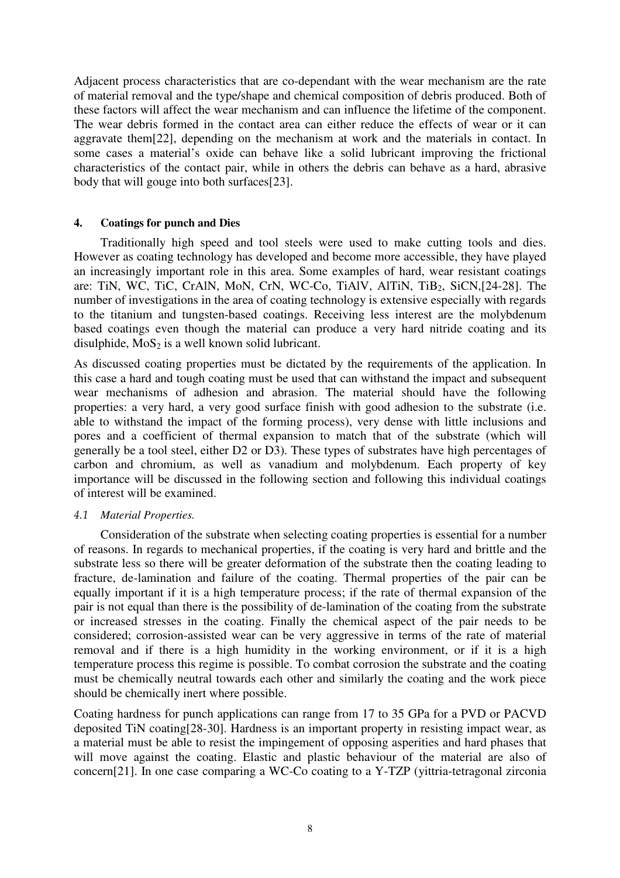Adjacent process characteristics that are co-dependant with the wear mechanism are the rate of material removal and the type/shape and chemical composition of debris produced. Both of these factors will affect the wear mechanism and can influence the lifetime of the component. The wear debris formed in the contact area can either reduce the effects of wear or it can aggravate them[22], depending on the mechanism at work and the materials in contact. In some cases a material's oxide can behave like a solid lubricant improving the frictional characteristics of the contact pair, while in others the debris can behave as a hard, abrasive body that will gouge into both surfaces[23].

## **4. Coatings for punch and Dies**

 Traditionally high speed and tool steels were used to make cutting tools and dies. However as coating technology has developed and become more accessible, they have played an increasingly important role in this area. Some examples of hard, wear resistant coatings are: TiN, WC, TiC, CrAlN, MoN, CrN, WC-Co, TiAlV, AlTiN, TiB<sub>2</sub>, SiCN,[24-28]. The number of investigations in the area of coating technology is extensive especially with regards to the titanium and tungsten-based coatings. Receiving less interest are the molybdenum based coatings even though the material can produce a very hard nitride coating and its disulphide,  $MoS<sub>2</sub>$  is a well known solid lubricant.

As discussed coating properties must be dictated by the requirements of the application. In this case a hard and tough coating must be used that can withstand the impact and subsequent wear mechanisms of adhesion and abrasion. The material should have the following properties: a very hard, a very good surface finish with good adhesion to the substrate (i.e. able to withstand the impact of the forming process), very dense with little inclusions and pores and a coefficient of thermal expansion to match that of the substrate (which will generally be a tool steel, either D2 or D3). These types of substrates have high percentages of carbon and chromium, as well as vanadium and molybdenum. Each property of key importance will be discussed in the following section and following this individual coatings of interest will be examined.

## 4.1 *Material Properties.*

 Consideration of the substrate when selecting coating properties is essential for a number of reasons. In regards to mechanical properties, if the coating is very hard and brittle and the substrate less so there will be greater deformation of the substrate then the coating leading to fracture, de-lamination and failure of the coating. Thermal properties of the pair can be equally important if it is a high temperature process; if the rate of thermal expansion of the pair is not equal than there is the possibility of de-lamination of the coating from the substrate or increased stresses in the coating. Finally the chemical aspect of the pair needs to be considered; corrosion-assisted wear can be very aggressive in terms of the rate of material removal and if there is a high humidity in the working environment, or if it is a high temperature process this regime is possible. To combat corrosion the substrate and the coating must be chemically neutral towards each other and similarly the coating and the work piece should be chemically inert where possible.

Coating hardness for punch applications can range from 17 to 35 GPa for a PVD or PACVD deposited TiN coating[28-30]. Hardness is an important property in resisting impact wear, as a material must be able to resist the impingement of opposing asperities and hard phases that will move against the coating. Elastic and plastic behaviour of the material are also of concern[21]. In one case comparing a WC-Co coating to a Y-TZP (yittria-tetragonal zirconia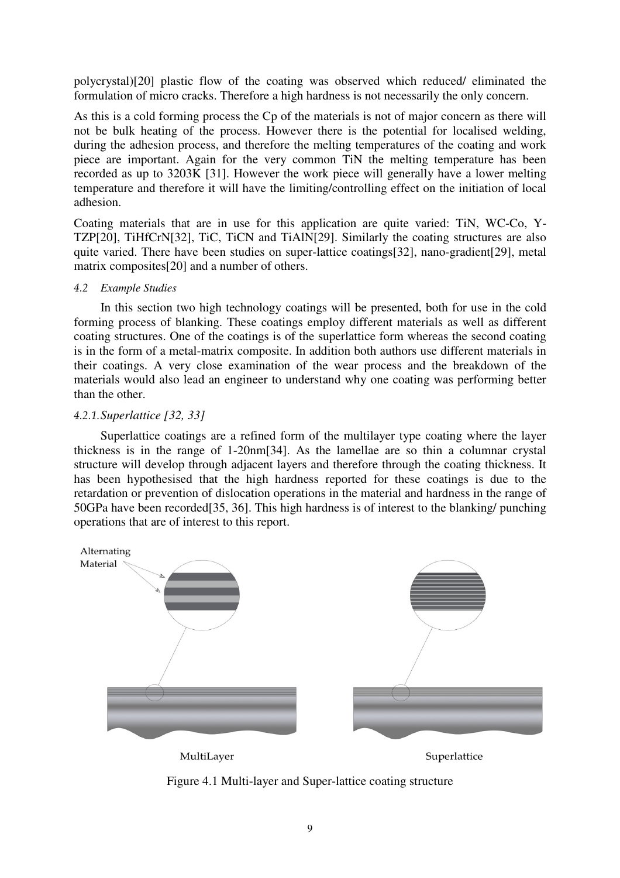polycrystal)[20] plastic flow of the coating was observed which reduced/ eliminated the formulation of micro cracks. Therefore a high hardness is not necessarily the only concern.

As this is a cold forming process the Cp of the materials is not of major concern as there will not be bulk heating of the process. However there is the potential for localised welding, during the adhesion process, and therefore the melting temperatures of the coating and work piece are important. Again for the very common TiN the melting temperature has been recorded as up to 3203K [31]. However the work piece will generally have a lower melting temperature and therefore it will have the limiting/controlling effect on the initiation of local adhesion.

Coating materials that are in use for this application are quite varied: TiN, WC-Co, Y-TZP[20], TiHfCrN[32], TiC, TiCN and TiAlN[29]. Similarly the coating structures are also quite varied. There have been studies on super-lattice coatings[32], nano-gradient[29], metal matrix composites[20] and a number of others.

#### 4.2 *Example Studies*

 In this section two high technology coatings will be presented, both for use in the cold forming process of blanking. These coatings employ different materials as well as different coating structures. One of the coatings is of the superlattice form whereas the second coating is in the form of a metal-matrix composite. In addition both authors use different materials in their coatings. A very close examination of the wear process and the breakdown of the materials would also lead an engineer to understand why one coating was performing better than the other.

## 4.2.1.*Superlattice [32, 33]*

 Superlattice coatings are a refined form of the multilayer type coating where the layer thickness is in the range of 1-20nm[34]. As the lamellae are so thin a columnar crystal structure will develop through adjacent layers and therefore through the coating thickness. It has been hypothesised that the high hardness reported for these coatings is due to the retardation or prevention of dislocation operations in the material and hardness in the range of 50GPa have been recorded[35, 36]. This high hardness is of interest to the blanking/ punching operations that are of interest to this report.



Figure 4.1 Multi-layer and Super-lattice coating structure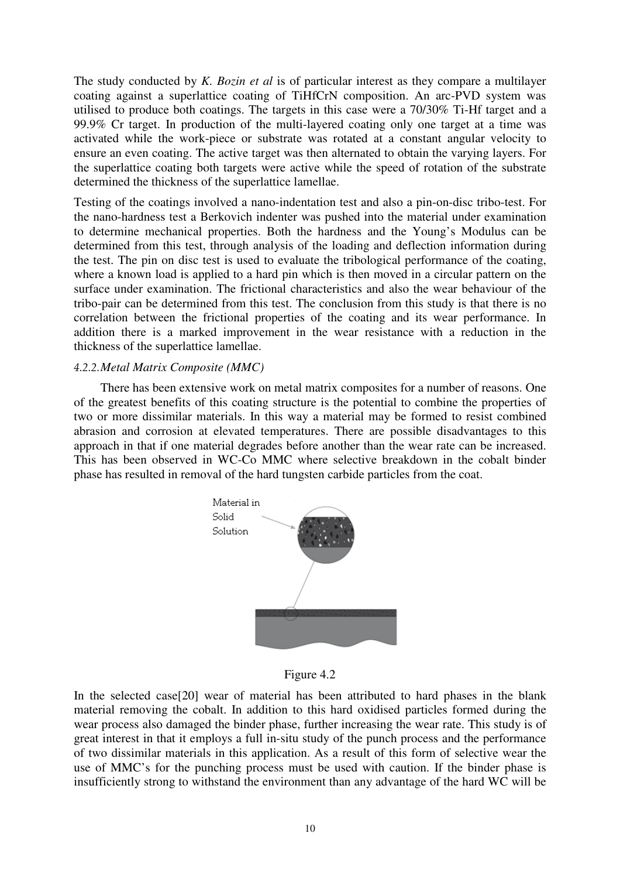The study conducted by *K. Bozin et al* is of particular interest as they compare a multilayer coating against a superlattice coating of TiHfCrN composition. An arc-PVD system was utilised to produce both coatings. The targets in this case were a 70/30% Ti-Hf target and a 99.9% Cr target. In production of the multi-layered coating only one target at a time was activated while the work-piece or substrate was rotated at a constant angular velocity to ensure an even coating. The active target was then alternated to obtain the varying layers. For the superlattice coating both targets were active while the speed of rotation of the substrate determined the thickness of the superlattice lamellae.

Testing of the coatings involved a nano-indentation test and also a pin-on-disc tribo-test. For the nano-hardness test a Berkovich indenter was pushed into the material under examination to determine mechanical properties. Both the hardness and the Young's Modulus can be determined from this test, through analysis of the loading and deflection information during the test. The pin on disc test is used to evaluate the tribological performance of the coating, where a known load is applied to a hard pin which is then moved in a circular pattern on the surface under examination. The frictional characteristics and also the wear behaviour of the tribo-pair can be determined from this test. The conclusion from this study is that there is no correlation between the frictional properties of the coating and its wear performance. In addition there is a marked improvement in the wear resistance with a reduction in the thickness of the superlattice lamellae.

## 4.2.2.*Metal Matrix Composite (MMC)*

 There has been extensive work on metal matrix composites for a number of reasons. One of the greatest benefits of this coating structure is the potential to combine the properties of two or more dissimilar materials. In this way a material may be formed to resist combined abrasion and corrosion at elevated temperatures. There are possible disadvantages to this approach in that if one material degrades before another than the wear rate can be increased. This has been observed in WC-Co MMC where selective breakdown in the cobalt binder phase has resulted in removal of the hard tungsten carbide particles from the coat.



Figure 4.2

In the selected case[20] wear of material has been attributed to hard phases in the blank material removing the cobalt. In addition to this hard oxidised particles formed during the wear process also damaged the binder phase, further increasing the wear rate. This study is of great interest in that it employs a full in-situ study of the punch process and the performance of two dissimilar materials in this application. As a result of this form of selective wear the use of MMC's for the punching process must be used with caution. If the binder phase is insufficiently strong to withstand the environment than any advantage of the hard WC will be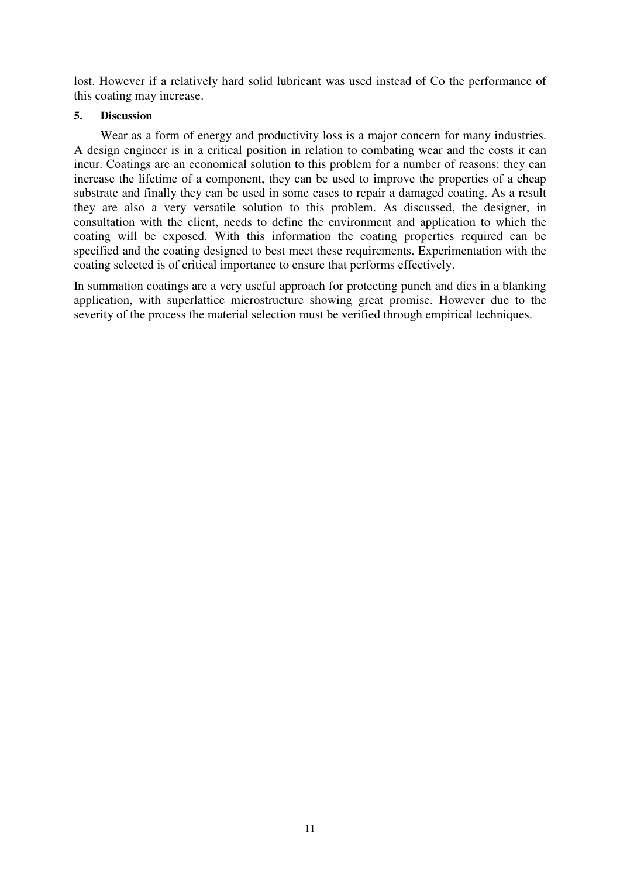lost. However if a relatively hard solid lubricant was used instead of Co the performance of this coating may increase.

## **5. Discussion**

 Wear as a form of energy and productivity loss is a major concern for many industries. A design engineer is in a critical position in relation to combating wear and the costs it can incur. Coatings are an economical solution to this problem for a number of reasons: they can increase the lifetime of a component, they can be used to improve the properties of a cheap substrate and finally they can be used in some cases to repair a damaged coating. As a result they are also a very versatile solution to this problem. As discussed, the designer, in consultation with the client, needs to define the environment and application to which the coating will be exposed. With this information the coating properties required can be specified and the coating designed to best meet these requirements. Experimentation with the coating selected is of critical importance to ensure that performs effectively.

In summation coatings are a very useful approach for protecting punch and dies in a blanking application, with superlattice microstructure showing great promise. However due to the severity of the process the material selection must be verified through empirical techniques.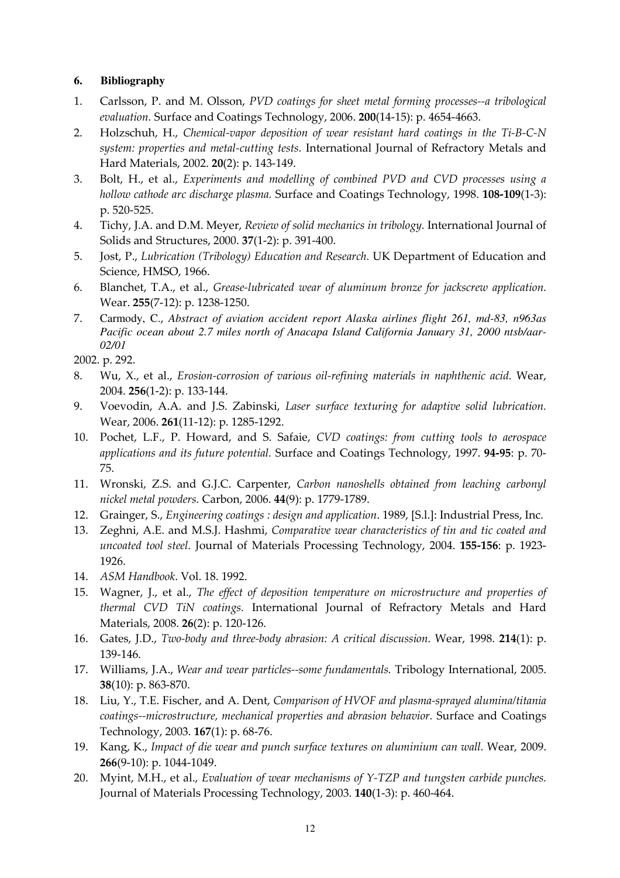## **6. Bibliography**

- 1. Carlsson, P. and M. Olsson, PVD coatings for sheet metal forming processes--a tribological evaluation. Surface and Coatings Technology, 2006. 200(14-15): p. 4654-4663.
- 2. Holzschuh, H., Chemical-vapor deposition of wear resistant hard coatings in the Ti-B-C-N system: properties and metal-cutting tests. International Journal of Refractory Metals and Hard Materials, 2002. 20(2): p. 143-149.
- 3. Bolt, H., et al., Experiments and modelling of combined PVD and CVD processes using a hollow cathode arc discharge plasma. Surface and Coatings Technology, 1998. 108-109(1-3): p. 520-525.
- 4. Tichy, J.A. and D.M. Meyer, Review of solid mechanics in tribology. International Journal of Solids and Structures, 2000. 37(1-2): p. 391-400.
- 5. Jost, P., Lubrication (Tribology) Education and Research. UK Department of Education and Science, HMSO, 1966.
- 6. Blanchet, T.A., et al., Grease-lubricated wear of aluminum bronze for jackscrew application. Wear. 255(7-12): p. 1238-1250.
- 7. Carmody, C., *Abstract of aviation accident report Alaska airlines flight 261, md-83, n963as Pacific ocean about 2.7 miles north of Anacapa Island California January 31, 2000 ntsb/aar-02/01*

2002. p. 292.

- 8. Wu, X., et al., Erosion-corrosion of various oil-refining materials in naphthenic acid. Wear, 2004. 256(1-2): p. 133-144.
- 9. Voevodin, A.A. and J.S. Zabinski, Laser surface texturing for adaptive solid lubrication. Wear, 2006. 261(11-12): p. 1285-1292.
- 10. Pochet, L.F., P. Howard, and S. Safaie, CVD coatings: from cutting tools to aerospace applications and its future potential. Surface and Coatings Technology, 1997. 94-95: p. 70- 75.
- 11. Wronski, Z.S. and G.J.C. Carpenter, Carbon nanoshells obtained from leaching carbonyl nickel metal powders. Carbon, 2006. 44(9): p. 1779-1789.
- 12. Grainger, S., Engineering coatings : design and application. 1989, [S.l.]: Industrial Press, Inc.
- 13. Zeghni, A.E. and M.S.J. Hashmi, Comparative wear characteristics of tin and tic coated and uncoated tool steel. Journal of Materials Processing Technology, 2004. 155-156: p. 1923- 1926.
- 14. ASM Handbook. Vol. 18. 1992.
- 15. Wagner, J., et al., The effect of deposition temperature on microstructure and properties of thermal CVD TiN coatings. International Journal of Refractory Metals and Hard Materials, 2008. 26(2): p. 120-126.
- 16. Gates, J.D., Two-body and three-body abrasion: A critical discussion. Wear, 1998. 214(1): p. 139-146.
- 17. Williams, J.A., Wear and wear particles--some fundamentals. Tribology International, 2005. 38(10): p. 863-870.
- 18. Liu, Y., T.E. Fischer, and A. Dent, Comparison of HVOF and plasma-sprayed alumina/titania coatings--microstructure, mechanical properties and abrasion behavior. Surface and Coatings Technology, 2003. 167(1): p. 68-76.
- 19. Kang, K., Impact of die wear and punch surface textures on aluminium can wall. Wear, 2009. 266(9-10): p. 1044-1049.
- 20. Myint, M.H., et al., Evaluation of wear mechanisms of Y-TZP and tungsten carbide punches. Journal of Materials Processing Technology, 2003. 140(1-3): p. 460-464.